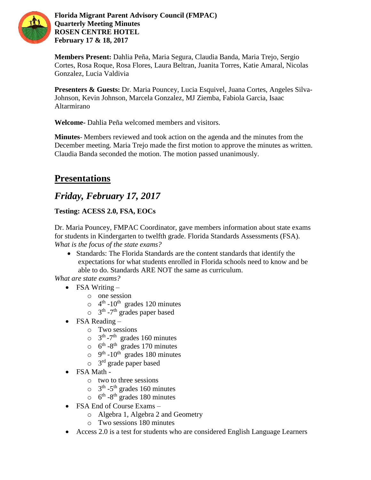

**Florida Migrant Parent Advisory Council (FMPAC) Quarterly Meeting Minutes ROSEN CENTRE HOTEL February 17 & 18, 2017**

**Members Present:** Dahlia Peña, Maria Segura, Claudia Banda, Maria Trejo, Sergio Cortes, Rosa Roque, Rosa Flores, Laura Beltran, Juanita Torres, Katie Amaral, Nicolas Gonzalez, Lucia Valdivia

**Presenters & Guests:** Dr. Maria Pouncey, Lucia Esquivel, Juana Cortes, Angeles Silva-Johnson, Kevin Johnson, Marcela Gonzalez, MJ Ziemba, Fabiola Garcia, Isaac Altarmirano

**Welcome-** Dahlia Peña welcomed members and visitors.

**Minutes**- Members reviewed and took action on the agenda and the minutes from the December meeting. Maria Trejo made the first motion to approve the minutes as written. Claudia Banda seconded the motion. The motion passed unanimously.

# **Presentations**

# *Friday, February 17, 2017*

# **Testing: ACESS 2.0, FSA, EOCs**

Dr. Maria Pouncey, FMPAC Coordinator, gave members information about state exams for students in Kindergarten to twelfth grade. Florida Standards Assessments (FSA). *What is the focus of the state exams?*

 Standards: The Florida Standards are the content standards that identify the expectations for what students enrolled in Florida schools need to know and be able to do. Standards ARE NOT the same as curriculum.

*What are state exams?*

- FSA Writing  $$ 
	- o one session
	- $\circ$  4<sup>th</sup> -10<sup>th</sup> grades 120 minutes
	- $\circ$  3<sup>th</sup> -7<sup>th</sup> grades paper based
- FSA Reading  $$ 
	- o Two sessions
	- $\circ$  3<sup>th</sup> -7<sup>th</sup> grades 160 minutes
	- $\circ$  6<sup>th</sup> -8<sup>th</sup> grades 170 minutes
	- $\circ$  9<sup>th</sup> -10<sup>th</sup> grades 180 minutes
	- $\circ$  3<sup>rd</sup> grade paper based
- FSA Math
	- o two to three sessions
	- $\circ$  3<sup>th</sup> -5<sup>th</sup> grades 160 minutes
	- $\circ$  6<sup>th</sup> -8<sup>th</sup> grades 180 minutes
- FSA End of Course Exams
	- o Algebra 1, Algebra 2 and Geometry
	- o Two sessions 180 minutes
- Access 2.0 is a test for students who are considered English Language Learners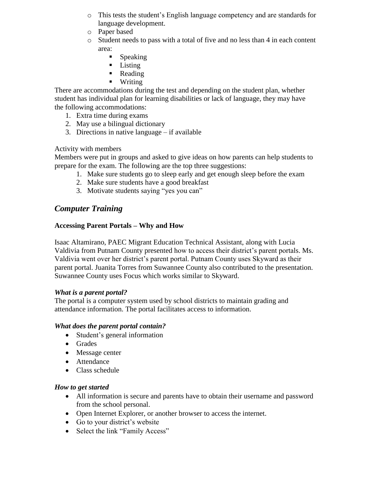- o This tests the student's English language competency and are standards for language development.
- o Paper based
- $\circ$  Student needs to pass with a total of five and no less than 4 in each content area:
	- $\blacksquare$  Speaking
	- **Listing**
	- Reading
	- **Writing**

There are accommodations during the test and depending on the student plan, whether student has individual plan for learning disabilities or lack of language, they may have the following accommodations:

- 1. Extra time during exams
- 2. May use a bilingual dictionary
- 3. Directions in native language if available

Activity with members

Members were put in groups and asked to give ideas on how parents can help students to prepare for the exam. The following are the top three suggestions:

- 1. Make sure students go to sleep early and get enough sleep before the exam
- 2. Make sure students have a good breakfast
- 3. Motivate students saying "yes you can"

## *Computer Training*

### **Accessing Parent Portals – Why and How**

Isaac Altamirano, PAEC Migrant Education Technical Assistant, along with Lucia Valdivia from Putnam County presented how to access their district's parent portals. Ms. Valdivia went over her district's parent portal. Putnam County uses Skyward as their parent portal. Juanita Torres from Suwannee County also contributed to the presentation. Suwannee County uses Focus which works similar to Skyward.

### *What is a parent portal?*

The portal is a computer system used by school districts to maintain grading and attendance information. The portal facilitates access to information.

### *What does the parent portal contain?*

- Student's general information
- Grades
- Message center
- Attendance
- Class schedule

### *How to get started*

- All information is secure and parents have to obtain their username and password from the school personal.
- Open Internet Explorer, or another browser to access the internet.
- Go to your district's website
- Select the link "Family Access"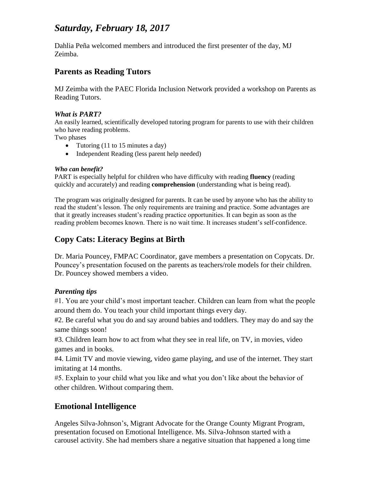# *Saturday, February 18, 2017*

Dahlia Peña welcomed members and introduced the first presenter of the day, MJ Zeimba.

## **Parents as Reading Tutors**

MJ Zeimba with the PAEC Florida Inclusion Network provided a workshop on Parents as Reading Tutors.

### *What is PART?*

An easily learned, scientifically developed tutoring program for parents to use with their children who have reading problems.

Two phases

- Tutoring  $(11 \text{ to } 15 \text{ minutes a day})$
- Independent Reading (less parent help needed)

### *Who can benefit?*

PART is especially helpful for children who have difficulty with reading **fluency** (reading quickly and accurately) and reading **comprehension** (understanding what is being read).

The program was originally designed for parents. It can be used by anyone who has the ability to read the student's lesson. The only requirements are training and practice. Some advantages are that it greatly increases student's reading practice opportunities. It can begin as soon as the reading problem becomes known. There is no wait time. It increases student's self-confidence.

# **Copy Cats: Literacy Begins at Birth**

Dr. Maria Pouncey, FMPAC Coordinator, gave members a presentation on Copycats. Dr. Pouncey's presentation focused on the parents as teachers/role models for their children. Dr. Pouncey showed members a video.

### *Parenting tips*

#1. You are your child's most important teacher. Children can learn from what the people around them do. You teach your child important things every day.

#2. Be careful what you do and say around babies and toddlers. They may do and say the same things soon!

#3. Children learn how to act from what they see in real life, on TV, in movies, video games and in books.

#4. Limit TV and movie viewing, video game playing, and use of the internet. They start imitating at 14 months.

#5. Explain to your child what you like and what you don't like about the behavior of other children. Without comparing them.

# **Emotional Intelligence**

Angeles Silva-Johnson's, Migrant Advocate for the Orange County Migrant Program, presentation focused on Emotional Intelligence. Ms. Silva-Johnson started with a carousel activity. She had members share a negative situation that happened a long time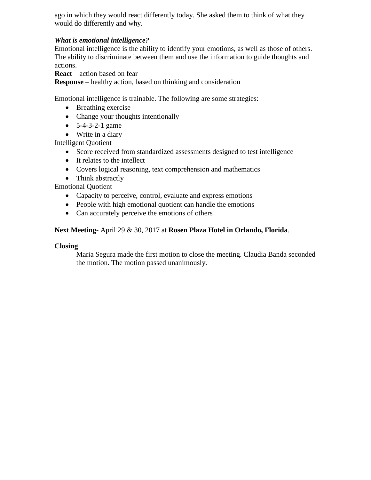ago in which they would react differently today. She asked them to think of what they would do differently and why.

## *What is emotional intelligence?*

Emotional intelligence is the ability to identify your emotions, as well as those of others. The ability to discriminate between them and use the information to guide thoughts and actions.

**React** – action based on fear

**Response** – healthy action, based on thinking and consideration

Emotional intelligence is trainable. The following are some strategies:

- Breathing exercise
- Change your thoughts intentionally
- $\bullet$  5-4-3-2-1 game
- Write in a diary

Intelligent Quotient

- Score received from standardized assessments designed to test intelligence
- It relates to the intellect
- Covers logical reasoning, text comprehension and mathematics
- Think abstractly

Emotional Quotient

- Capacity to perceive, control, evaluate and express emotions
- People with high emotional quotient can handle the emotions
- Can accurately perceive the emotions of others

### **Next Meeting**- April 29 & 30, 2017 at **Rosen Plaza Hotel in Orlando, Florida**.

### **Closing**

Maria Segura made the first motion to close the meeting. Claudia Banda seconded the motion. The motion passed unanimously.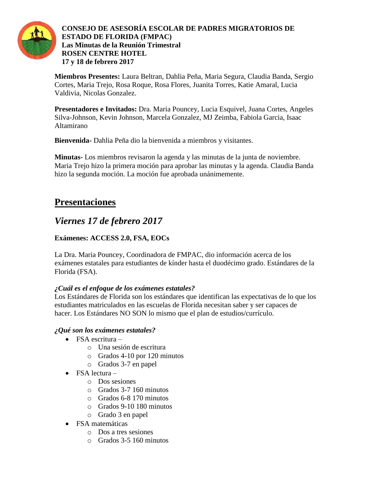

 **CONSEJO DE ASESORÍA ESCOLAR DE PADRES MIGRATORIOS DE ESTADO DE FLORIDA (FMPAC) Las Minutas de la Reunión Trimestral ROSEN CENTRE HOTEL 17 y 18 de febrero 2017**

**Miembros Presentes:** Laura Beltran, Dahlia Peña, Maria Segura, Claudia Banda, Sergio Cortes, Maria Trejo, Rosa Roque, Rosa Flores, Juanita Torres, Katie Amaral, Lucia Valdivia, Nicolas Gonzalez.

**Presentadores e Invitados:** Dra. Maria Pouncey, Lucia Esquivel, Juana Cortes, Angeles Silva-Johnson, Kevin Johnson, Marcela Gonzalez, MJ Zeimba, Fabiola Garcia, Isaac Altamirano

**Bienvenida-** Dahlia Peña dio la bienvenida a miembros y visitantes.

**Minutas-** Los miembros revisaron la agenda y las minutas de la junta de noviembre. Maria Trejo hizo la primera moción para aprobar las minutas y la agenda. Claudia Banda hizo la segunda moción. La moción fue aprobada unánimemente.

# **Presentaciones**

# *Viernes 17 de febrero 2017*

# **Exámenes: ACCESS 2.0, FSA, EOCs**

La Dra. Maria Pouncey, Coordinadora de FMPAC, dio información acerca de los exámenes estatales para estudiantes de kínder hasta el duodécimo grado. Estándares de la Florida (FSA).

## *¿Cuál es el enfoque de los exámenes estatales?*

Los Estándares de Florida son los estándares que identifican las expectativas de lo que los estudiantes matriculados en las escuelas de Florida necesitan saber y ser capaces de hacer. Los Estándares NO SON lo mismo que el plan de estudios/currículo.

## *¿Qué son los exámenes estatales?*

- $\bullet$  FSA escritura
	- o Una sesión de escritura
	- o Grados 4-10 por 120 minutos
	- o Grados 3-7 en papel
- $\bullet$  FSA lectura
	- o Dos sesiones
	- o Grados 3-7 160 minutos
	- o Grados 6-8 170 minutos
	- o Grados 9-10 180 minutos
	- o Grado 3 en papel
- FSA matemáticas
	- o Dos a tres sesiones
	- o Grados 3-5 160 minutos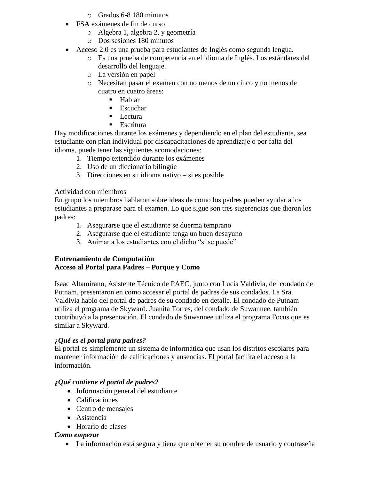- o Grados 6-8 180 minutos
- FSA exámenes de fin de curso
	- o Algebra 1, algebra 2, y geometría
	- o Dos sesiones 180 minutos
- Acceso 2.0 es una prueba para estudiantes de Inglés como segunda lengua.
	- o Es una prueba de competencia en el idioma de Inglés. Los estándares del desarrollo del lenguaje.
	- o La versión en papel
	- o Necesitan pasar el examen con no menos de un cinco y no menos de cuatro en cuatro áreas:
		- **Hablar**
		- $\blacksquare$  Escuchar
		- **Lectura**
		- $\blacksquare$  Escritura

Hay modificaciones durante los exámenes y dependiendo en el plan del estudiante, sea estudiante con plan individual por discapacitaciones de aprendizaje o por falta del idioma, puede tener las siguientes acomodaciones:

- 1. Tiempo extendido durante los exámenes
- 2. Uso de un diccionario bilingüe
- 3. Direcciones en su idioma nativo si es posible

### Actividad con miembros

En grupo los miembros hablaron sobre ideas de como los padres pueden ayudar a los estudiantes a preparase para el examen. Lo que sigue son tres sugerencias que dieron los padres:

- 1. Asegurarse que el estudiante se duerma temprano
- 2. Asegurarse que el estudiante tenga un buen desayuno
- 3. Animar a los estudiantes con el dicho "si se puede"

### **Entrenamiento de Computación Acceso al Portal para Padres – Porque y Como**

Isaac Altamirano, Asistente Técnico de PAEC, junto con Lucia Valdivia, del condado de Putnam, presentaron en como accesar el portal de padres de sus condados. La Sra. Valdivia hablo del portal de padres de su condado en detalle. El condado de Putnam utiliza el programa de Skyward. Juanita Torres, del condado de Suwannee, también contribuyó a la presentación. El condado de Suwannee utiliza el programa Focus que es similar a Skyward.

### *¿Qué es el portal para padres?*

El portal es simplemente un sistema de informática que usan los distritos escolares para mantener información de calificaciones y ausencias. El portal facilita el acceso a la información.

### *¿Qué contiene el portal de padres?*

- Información general del estudiante
- Calificaciones
- Centro de mensajes
- Asistencia
- Horario de clases

### *Como empezar*

La información está segura y tiene que obtener su nombre de usuario y contraseña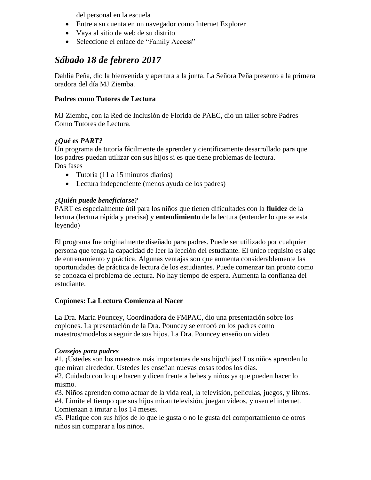del personal en la escuela

- Entre a su cuenta en un navegador como Internet Explorer
- Vaya al sitio de web de su distrito
- Seleccione el enlace de "Family Access"

# *Sábado 18 de febrero 2017*

Dahlia Peña, dio la bienvenida y apertura a la junta. La Señora Peña presento a la primera oradora del día MJ Ziemba.

### **Padres como Tutores de Lectura**

MJ Ziemba, con la Red de Inclusión de Florida de PAEC, dio un taller sobre Padres Como Tutores de Lectura.

### *¿Qué es PART?*

Un programa de tutoría fácilmente de aprender y científicamente desarrollado para que los padres puedan utilizar con sus hijos si es que tiene problemas de lectura. Dos fases

- Tutoría (11 a 15 minutos diarios)
- Lectura independiente (menos ayuda de los padres)

## *¿Quién puede beneficiarse?*

PART es especialmente útil para los niños que tienen dificultades con la **fluidez** de la lectura (lectura rápida y precisa) y **entendimiento** de la lectura (entender lo que se esta leyendo)

El programa fue originalmente diseñado para padres. Puede ser utilizado por cualquier persona que tenga la capacidad de leer la lección del estudiante. El único requisito es algo de entrenamiento y práctica. Algunas ventajas son que aumenta considerablemente las oportunidades de práctica de lectura de los estudiantes. Puede comenzar tan pronto como se conozca el problema de lectura. No hay tiempo de espera. Aumenta la confianza del estudiante.

### **Copiones: La Lectura Comienza al Nacer**

La Dra. Maria Pouncey, Coordinadora de FMPAC, dio una presentación sobre los copiones. La presentación de la Dra. Pouncey se enfocó en los padres como maestros/modelos a seguir de sus hijos. La Dra. Pouncey enseño un video.

### *Consejos para padres*

#1. ¡Ustedes son los maestros más importantes de sus hijo/hijas! Los niños aprenden lo que miran alrededor. Ustedes les enseñan nuevas cosas todos los días.

#2. Cuidado con lo que hacen y dicen frente a bebes y niños ya que pueden hacer lo mismo.

#3. Niños aprenden como actuar de la vida real, la televisión, películas, juegos, y libros. #4. Limite el tiempo que sus hijos miran televisión, juegan videos, y usen el internet. Comienzan a imitar a los 14 meses.

#5. Platique con sus hijos de lo que le gusta o no le gusta del comportamiento de otros niños sin comparar a los niños.